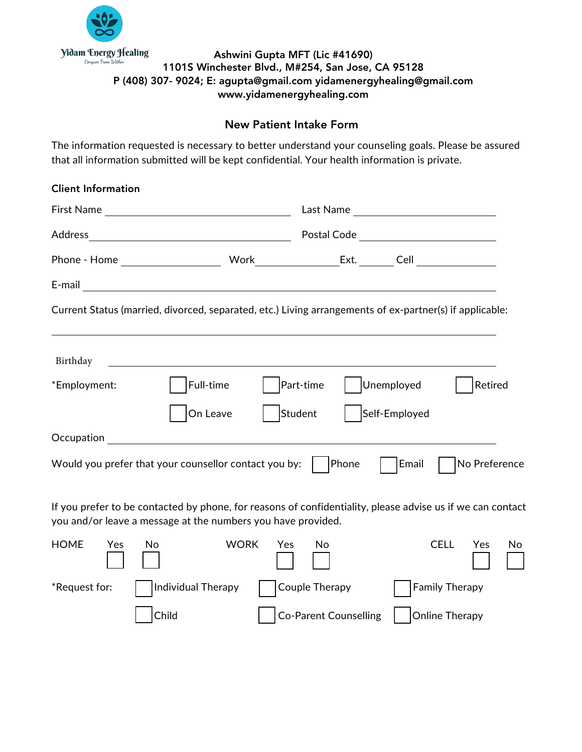

## Ashwini Gupta MFT (Lic #41690) 1101S Winchester Blvd., M#254, San Jose, CA 95128 P (408) 307- 9024; E: agupta@gmail.com yidamenergyhealing@gmail.com www.yidamenergyhealing.com

## New Patient Intake Form

The information requested is necessary to better understand your counseling goals. Please be assured that all information submitted will be kept confidential. Your health information is private.

| <b>Client Information</b> |                                                                                                                                                                            |                                           |                |               |    |
|---------------------------|----------------------------------------------------------------------------------------------------------------------------------------------------------------------------|-------------------------------------------|----------------|---------------|----|
|                           |                                                                                                                                                                            |                                           |                |               |    |
|                           |                                                                                                                                                                            | Postal Code _____________________________ |                |               |    |
|                           |                                                                                                                                                                            |                                           |                |               |    |
|                           |                                                                                                                                                                            |                                           |                |               |    |
|                           | Current Status (married, divorced, separated, etc.) Living arrangements of ex-partner(s) if applicable:                                                                    |                                           |                |               |    |
|                           |                                                                                                                                                                            |                                           |                |               |    |
| Birthday                  |                                                                                                                                                                            |                                           |                |               |    |
| *Employment:              | Full-time                                                                                                                                                                  | Part-time                                 | Unemployed     | Retired       |    |
|                           | Student<br>On Leave                                                                                                                                                        |                                           | Self-Employed  |               |    |
|                           | <b>Occupation CONSUMING TO A RESIDENT AND RESIDENT</b>                                                                                                                     |                                           |                |               |    |
|                           | Would you prefer that your counsellor contact you by:                                                                                                                      | Phone                                     | Email          | No Preference |    |
|                           | If you prefer to be contacted by phone, for reasons of confidentiality, please advise us if we can contact<br>you and/or leave a message at the numbers you have provided. |                                           |                |               |    |
| <b>HOME</b><br>No<br>Yes  | <b>WORK</b><br>Yes                                                                                                                                                         | No                                        | <b>CELL</b>    | Yes           | No |
| *Request for:             | Individual Therapy                                                                                                                                                         | Couple Therapy                            | Family Therapy |               |    |

Child Co-Parent Counselling Online Therapy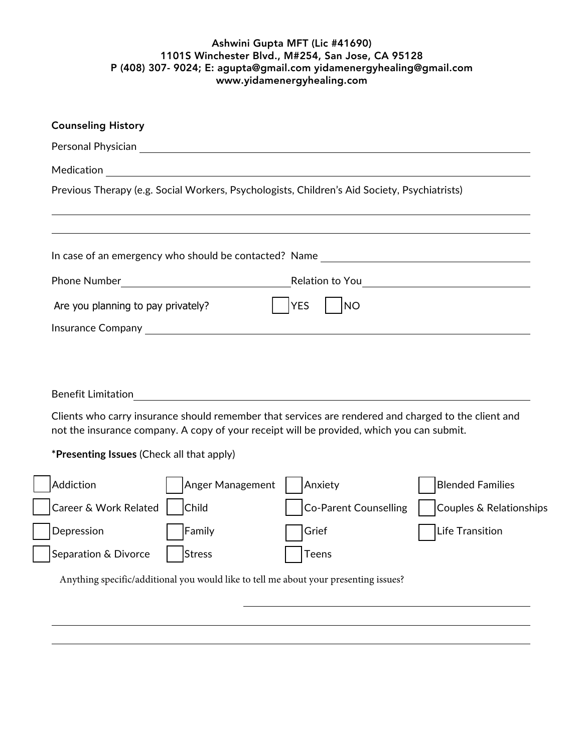## Ashwini Gupta MFT (Lic #41690) 1101S Winchester Blvd., M#254, San Jose, CA 95128 P (408) 307- 9024; E: agupta@gmail.com yidamenergyhealing@gmail.com www.yidamenergyhealing.com

|                                           |                            | Personal Physician Provident Communication of the Communication of the Communication of the Communication of the Communication of the Communication of the Communication of the Communication of the Communication of the Comm |                         |
|-------------------------------------------|----------------------------|--------------------------------------------------------------------------------------------------------------------------------------------------------------------------------------------------------------------------------|-------------------------|
|                                           |                            | Previous Therapy (e.g. Social Workers, Psychologists, Children's Aid Society, Psychiatrists)                                                                                                                                   |                         |
|                                           |                            |                                                                                                                                                                                                                                |                         |
|                                           |                            | In case of an emergency who should be contacted? Name __________________________                                                                                                                                               |                         |
|                                           |                            |                                                                                                                                                                                                                                |                         |
| Are you planning to pay privately?        |                            | <b>YES</b><br><b>NO</b>                                                                                                                                                                                                        |                         |
|                                           |                            |                                                                                                                                                                                                                                |                         |
|                                           |                            |                                                                                                                                                                                                                                |                         |
| <b>Benefit Limitation</b>                 |                            | Clients who carry insurance should remember that services are rendered and charged to the client and<br>not the insurance company. A copy of your receipt will be provided, which you can submit.                              |                         |
| *Presenting Issues (Check all that apply) |                            |                                                                                                                                                                                                                                |                         |
| Addiction                                 | Anger Management   Anxiety |                                                                                                                                                                                                                                | <b>Blended Families</b> |
| Career & Work Related                     | Child                      | <b>Co-Parent Counselling</b>                                                                                                                                                                                                   | Couples & Relationships |
| Depression                                | Family                     | Grief                                                                                                                                                                                                                          | Life Transition         |
| Separation & Divorce                      | <b>Stress</b>              | <b>Teens</b>                                                                                                                                                                                                                   |                         |